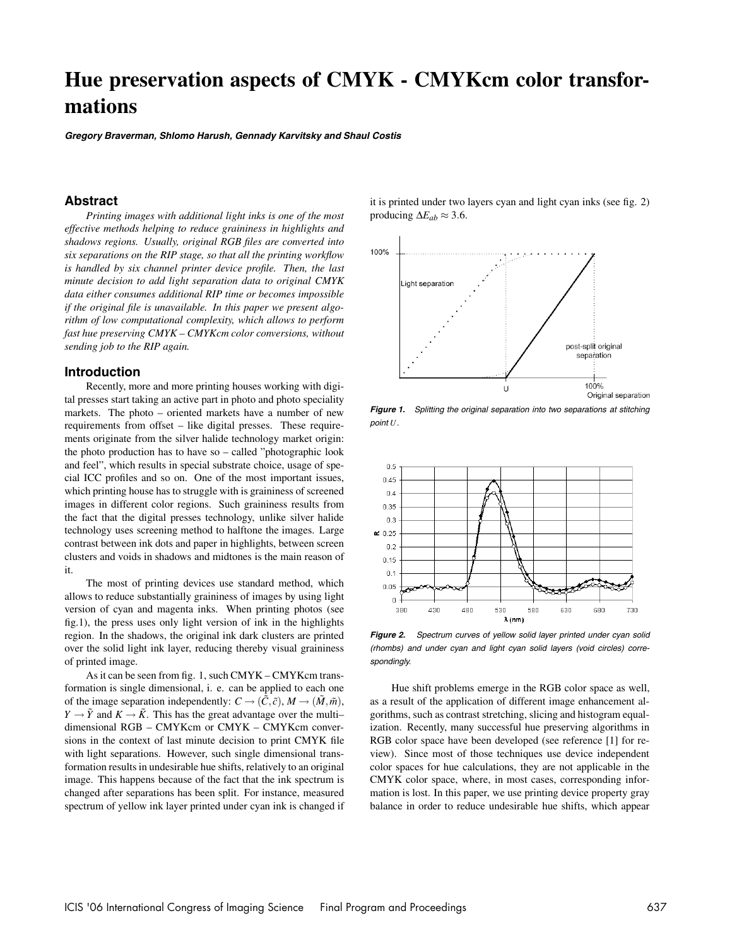# **Hue preservation aspects of CMYK - CMYKcm color transformations**

**Gregory Braverman, Shlomo Harush, Gennady Karvitsky and Shaul Costis**

## **Abstract**

*Printing images with additional light inks is one of the most effective methods helping to reduce graininess in highlights and shadows regions. Usually, original RGB files are converted into six separations on the RIP stage, so that all the printing workflow is handled by six channel printer device profile. Then, the last minute decision to add light separation data to original CMYK data either consumes additional RIP time or becomes impossible if the original file is unavailable. In this paper we present algorithm of low computational complexity, which allows to perform fast hue preserving CMYK – CMYKcm color conversions, without sending job to the RIP again.*

#### **Introduction**

Recently, more and more printing houses working with digital presses start taking an active part in photo and photo speciality markets. The photo – oriented markets have a number of new requirements from offset – like digital presses. These requirements originate from the silver halide technology market origin: the photo production has to have so – called "photographic look and feel", which results in special substrate choice, usage of special ICC profiles and so on. One of the most important issues, which printing house has to struggle with is graininess of screened images in different color regions. Such graininess results from the fact that the digital presses technology, unlike silver halide technology uses screening method to halftone the images. Large contrast between ink dots and paper in highlights, between screen clusters and voids in shadows and midtones is the main reason of it.

The most of printing devices use standard method, which allows to reduce substantially graininess of images by using light version of cyan and magenta inks. When printing photos (see fig.1), the press uses only light version of ink in the highlights region. In the shadows, the original ink dark clusters are printed over the solid light ink layer, reducing thereby visual graininess of printed image.

As it can be seen from fig. 1, such CMYK – CMYKcm transformation is single dimensional, i. e. can be applied to each one of the image separation independently:  $C \rightarrow (\tilde{C}, \tilde{c})$ ,  $M \rightarrow (\tilde{M}, \tilde{m})$ , *Y*  $\rightarrow \tilde{Y}$  and *K*  $\rightarrow \tilde{K}$ . This has the great advantage over the multi– dimensional RGB – CMYKcm or CMYK – CMYKcm conversions in the context of last minute decision to print CMYK file with light separations. However, such single dimensional transformation results in undesirable hue shifts, relatively to an original image. This happens because of the fact that the ink spectrum is changed after separations has been split. For instance, measured spectrum of yellow ink layer printed under cyan ink is changed if it is printed under two layers cyan and light cyan inks (see fig. 2) producing  $\Delta E_{ab} \approx 3.6$ .



**Figure 1.** Splitting the original separation into two separations at stitching point *U*.



**Figure 2.** Spectrum curves of yellow solid layer printed under cyan solid (rhombs) and under cyan and light cyan solid layers (void circles) correspondingly.

Hue shift problems emerge in the RGB color space as well, as a result of the application of different image enhancement algorithms, such as contrast stretching, slicing and histogram equalization. Recently, many successful hue preserving algorithms in RGB color space have been developed (see reference [1] for review). Since most of those techniques use device independent color spaces for hue calculations, they are not applicable in the CMYK color space, where, in most cases, corresponding information is lost. In this paper, we use printing device property gray balance in order to reduce undesirable hue shifts, which appear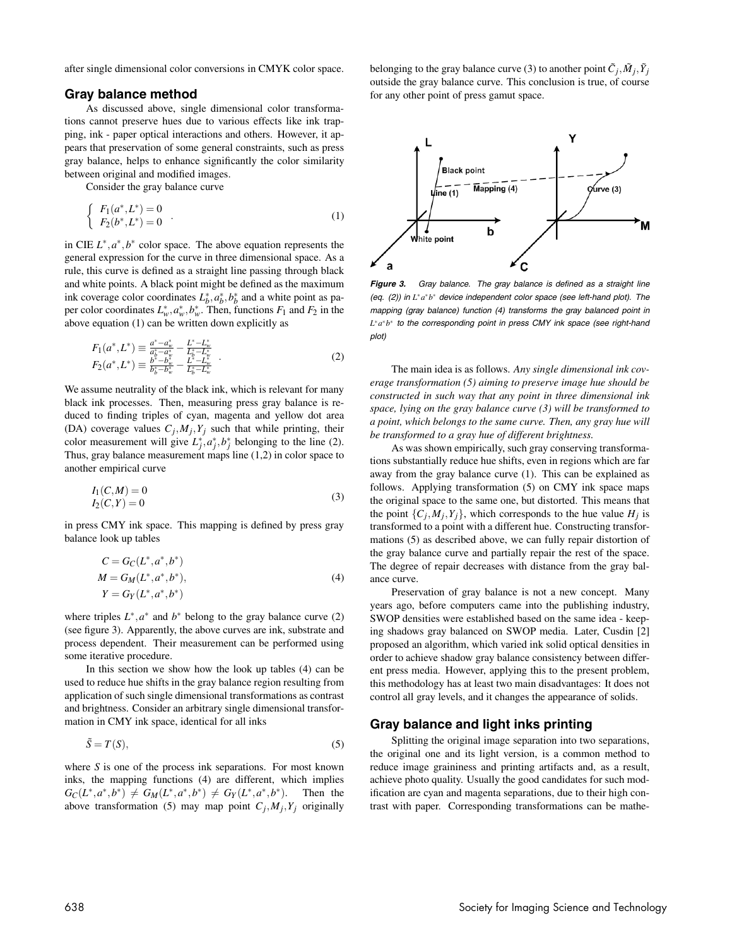after single dimensional color conversions in CMYK color space.

#### **Gray balance method**

As discussed above, single dimensional color transformations cannot preserve hues due to various effects like ink trapping, ink - paper optical interactions and others. However, it appears that preservation of some general constraints, such as press gray balance, helps to enhance significantly the color similarity between original and modified images.

Consider the gray balance curve

$$
\begin{cases}\nF_1(a^*, L^*) = 0 \\
F_2(b^*, L^*) = 0\n\end{cases} .
$$
\n(1)

in CIE  $L^*, a^*, b^*$  color space. The above equation represents the general expression for the curve in three dimensional space. As a rule, this curve is defined as a straight line passing through black and white points. A black point might be defined as the maximum ink coverage color coordinates  $L_b^*, a_b^*, b_b^*$  and a white point as paper color coordinates  $L^*_{w}, a^*_{w}, b^*_{w}$ . Then, functions  $F_1$  and  $F_2$  in the above equation (1) can be written down explicitly as

$$
F_1(a^*, L^*) \equiv \frac{a^* - a_w^*}{a_b^* - a_w^*} - \frac{L^* - L_w^*}{L_b^* - L_w^*}
$$
  
\n
$$
F_2(a^*, L^*) \equiv \frac{b^* - b_w^*}{b_b^* - b_w^*} - \frac{L^* - L_w^*}{L_b^* - L_w^*}
$$
\n(2)

We assume neutrality of the black ink, which is relevant for many black ink processes. Then, measuring press gray balance is reduced to finding triples of cyan, magenta and yellow dot area (DA) coverage values  $C_j$ ,  $M_j$ ,  $Y_j$  such that while printing, their color measurement will give  $L_j^*, a_j^*, b_j^*$  belonging to the line (2). Thus, gray balance measurement maps line (1,2) in color space to another empirical curve

$$
I_1(C,M) = 0I_2(C,Y) = 0
$$
\n(3)

in press CMY ink space. This mapping is defined by press gray balance look up tables

$$
C = G_C(L^*, a^*, b^*)
$$
  
\n
$$
M = G_M(L^*, a^*, b^*),
$$
  
\n
$$
Y = G_Y(L^*, a^*, b^*)
$$
\n(4)

where triples  $L^*$ ,  $a^*$  and  $b^*$  belong to the gray balance curve (2) (see figure 3). Apparently, the above curves are ink, substrate and process dependent. Their measurement can be performed using some iterative procedure.

In this section we show how the look up tables (4) can be used to reduce hue shifts in the gray balance region resulting from application of such single dimensional transformations as contrast and brightness. Consider an arbitrary single dimensional transformation in CMY ink space, identical for all inks

$$
\tilde{S} = T(S),\tag{5}
$$

where *S* is one of the process ink separations. For most known inks, the mapping functions (4) are different, which implies  $G_{\mathcal{C}}(L^*, a^*, b^*) \neq G_M(L^*, a^*, b^*) \neq G_Y(L^*, a^*, b^*)$ . Then the above transformation (5) may map point  $C_i, M_i, Y_i$  originally belonging to the gray balance curve (3) to another point  $\tilde{C}_i$ ,  $\tilde{M}_i$ ,  $\tilde{Y}_i$ outside the gray balance curve. This conclusion is true, of course for any other point of press gamut space.



**Figure 3.** Gray balance. The gray balance is defined as <sup>a</sup> straight line (eq. (2)) in *L*<sup>∗</sup> *a*∗*b*<sup>∗</sup> device independent color space (see left-hand plot). The mapping (gray balance) function (4) transforms the gray balanced point in *L*∗*a*∗*b*<sup>∗</sup> to the corresponding point in press CMY ink space (see right-hand plot)

The main idea is as follows. *Any single dimensional ink coverage transformation (5) aiming to preserve image hue should be constructed in such way that any point in three dimensional ink space, lying on the gray balance curve (3) will be transformed to a point, which belongs to the same curve. Then, any gray hue will be transformed to a gray hue of different brightness.*

As was shown empirically, such gray conserving transformations substantially reduce hue shifts, even in regions which are far away from the gray balance curve (1). This can be explained as follows. Applying transformation (5) on CMY ink space maps the original space to the same one, but distorted. This means that the point  $\{C_i, M_i, Y_j\}$ , which corresponds to the hue value  $H_j$  is transformed to a point with a different hue. Constructing transformations (5) as described above, we can fully repair distortion of the gray balance curve and partially repair the rest of the space. The degree of repair decreases with distance from the gray balance curve.

Preservation of gray balance is not a new concept. Many years ago, before computers came into the publishing industry, SWOP densities were established based on the same idea - keeping shadows gray balanced on SWOP media. Later, Cusdin [2] proposed an algorithm, which varied ink solid optical densities in order to achieve shadow gray balance consistency between different press media. However, applying this to the present problem, this methodology has at least two main disadvantages: It does not control all gray levels, and it changes the appearance of solids.

# **Gray balance and light inks printing**

Splitting the original image separation into two separations, the original one and its light version, is a common method to reduce image graininess and printing artifacts and, as a result, achieve photo quality. Usually the good candidates for such modification are cyan and magenta separations, due to their high contrast with paper. Corresponding transformations can be mathe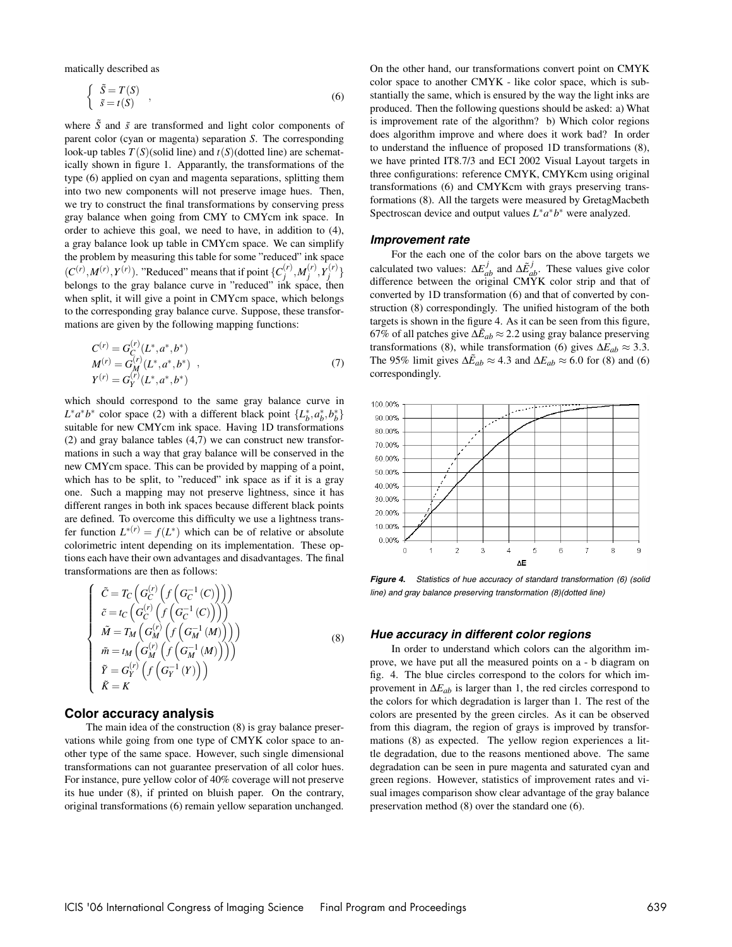matically described as

$$
\begin{cases} \tilde{S} = T(S) \\ \tilde{s} = t(S) \end{cases} , \tag{6}
$$

where  $\tilde{S}$  and  $\tilde{s}$  are transformed and light color components of parent color (cyan or magenta) separation *S*. The corresponding look-up tables  $T(S)$ (solid line) and  $t(S)$ (dotted line) are schematically shown in figure 1. Apparantly, the transformations of the type (6) applied on cyan and magenta separations, splitting them into two new components will not preserve image hues. Then, we try to construct the final transformations by conserving press gray balance when going from CMY to CMYcm ink space. In order to achieve this goal, we need to have, in addition to (4), a gray balance look up table in CMYcm space. We can simplify the problem by measuring this table for some "reduced" ink space  $(C^{(r)}, M^{(r)}, Y^{(r)})$ . "Reduced" means that if point  $\{C_j^{(r)}, M_j^{(r)}, Y_j^{(r)}\}$ belongs to the gray balance curve in "reduced" ink space, then when split, it will give a point in CMYcm space, which belongs to the corresponding gray balance curve. Suppose, these transformations are given by the following mapping functions:

$$
C^{(r)} = G_C^{(r)}(L^*, a^*, b^*)
$$
  
\n
$$
M^{(r)} = G_M^{(r)}(L^*, a^*, b^*)
$$
,  
\n
$$
Y^{(r)} = G_Y^{(r)}(L^*, a^*, b^*)
$$
\n(7)

which should correspond to the same gray balance curve in *L*<sup>\*</sup>*a*<sup>\*</sup>*b*<sup>\*</sup> color space (2) with a different black point  $\{L_b^*, a_b^*, b_b^*\}$ suitable for new CMYcm ink space. Having 1D transformations (2) and gray balance tables (4,7) we can construct new transformations in such a way that gray balance will be conserved in the new CMYcm space. This can be provided by mapping of a point, which has to be split, to "reduced" ink space as if it is a gray one. Such a mapping may not preserve lightness, since it has different ranges in both ink spaces because different black points are defined. To overcome this difficulty we use a lightness transfer function  $L^{*(r)} = f(L^*)$  which can be of relative or absolute colorimetric intent depending on its implementation. These options each have their own advantages and disadvantages. The final transformations are then as follows:

$$
\begin{cases}\n\tilde{C} = T_C \left( G_C^{(r)} \left( f \left( G_C^{-1} \left( C \right) \right) \right) \right) \\
\tilde{c} = t_C \left( G_C^{(r)} \left( f \left( G_C^{-1} \left( C \right) \right) \right) \right) \\
\tilde{M} = T_M \left( G_M^{(r)} \left( f \left( G_M^{-1} \left( M \right) \right) \right) \right) \\
\tilde{m} = t_M \left( G_M^{(r)} \left( f \left( G_M^{-1} \left( M \right) \right) \right) \right) \\
\tilde{r} = G_Y^{(r)} \left( f \left( G_Y^{-1} \left( Y \right) \right) \right) \\
\tilde{K} = K\n\end{cases}
$$
\n(8)

## **Color accuracy analysis**

The main idea of the construction (8) is gray balance preservations while going from one type of CMYK color space to another type of the same space. However, such single dimensional transformations can not guarantee preservation of all color hues. For instance, pure yellow color of 40% coverage will not preserve its hue under (8), if printed on bluish paper. On the contrary, original transformations (6) remain yellow separation unchanged. On the other hand, our transformations convert point on CMYK color space to another CMYK - like color space, which is substantially the same, which is ensured by the way the light inks are produced. Then the following questions should be asked: a) What is improvement rate of the algorithm? b) Which color regions does algorithm improve and where does it work bad? In order to understand the influence of proposed 1D transformations (8), we have printed IT8.7/3 and ECI 2002 Visual Layout targets in three configurations: reference CMYK, CMYKcm using original transformations (6) and CMYKcm with grays preserving transformations (8). All the targets were measured by GretagMacbeth Spectroscan device and output values *L*∗*a*∗*b*<sup>∗</sup> were analyzed.

#### **Improvement rate**

For the each one of the color bars on the above targets we calculated two values:  $\Delta E_{ab}^{j}$  and  $\Delta \tilde{E}_{ab}^{j}$ . These values give color difference between the original CMYK color strip and that of converted by 1D transformation (6) and that of converted by construction (8) correspondingly. The unified histogram of the both targets is shown in the figure 4. As it can be seen from this figure, 67% of all patches give  $\Delta \tilde{E}_{ab} \approx 2.2$  using gray balance preserving transformations (8), while transformation (6) gives  $\Delta E_{ab} \approx 3.3$ . The 95% limit gives  $\Delta \tilde{E}_{ab} \approx 4.3$  and  $\Delta E_{ab} \approx 6.0$  for (8) and (6) correspondingly.



**Figure 4.** Statistics of hue accuracy of standard transformation (6) (solid line) and gray balance preserving transformation (8)(dotted line)

#### **Hue accuracy in different color regions**

In order to understand which colors can the algorithm improve, we have put all the measured points on a - b diagram on fig. 4. The blue circles correspond to the colors for which improvement in ∆*Eab* is larger than 1, the red circles correspond to the colors for which degradation is larger than 1. The rest of the colors are presented by the green circles. As it can be observed from this diagram, the region of grays is improved by transformations (8) as expected. The yellow region experiences a little degradation, due to the reasons mentioned above. The same degradation can be seen in pure magenta and saturated cyan and green regions. However, statistics of improvement rates and visual images comparison show clear advantage of the gray balance preservation method (8) over the standard one (6).